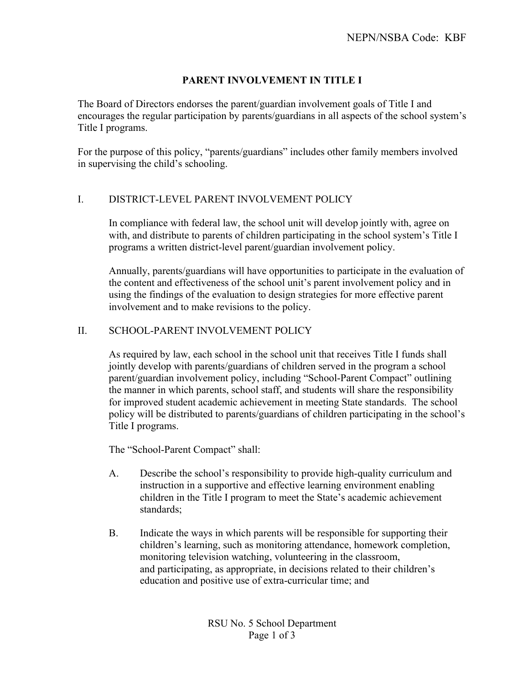# **PARENT INVOLVEMENT IN TITLE I**

The Board of Directors endorses the parent/guardian involvement goals of Title I and encourages the regular participation by parents/guardians in all aspects of the school system's Title I programs.

For the purpose of this policy, "parents/guardians" includes other family members involved in supervising the child's schooling.

## I. DISTRICT-LEVEL PARENT INVOLVEMENT POLICY

In compliance with federal law, the school unit will develop jointly with, agree on with, and distribute to parents of children participating in the school system's Title I programs a written district-level parent/guardian involvement policy.

Annually, parents/guardians will have opportunities to participate in the evaluation of the content and effectiveness of the school unit's parent involvement policy and in using the findings of the evaluation to design strategies for more effective parent involvement and to make revisions to the policy.

## II. SCHOOL-PARENT INVOLVEMENT POLICY

As required by law, each school in the school unit that receives Title I funds shall jointly develop with parents/guardians of children served in the program a school parent/guardian involvement policy, including "School-Parent Compact" outlining the manner in which parents, school staff, and students will share the responsibility for improved student academic achievement in meeting State standards. The school policy will be distributed to parents/guardians of children participating in the school's Title I programs.

The "School-Parent Compact" shall:

- A. Describe the school's responsibility to provide high-quality curriculum and instruction in a supportive and effective learning environment enabling children in the Title I program to meet the State's academic achievement standards;
- B. Indicate the ways in which parents will be responsible for supporting their children's learning, such as monitoring attendance, homework completion, monitoring television watching, volunteering in the classroom, and participating, as appropriate, in decisions related to their children's education and positive use of extra-curricular time; and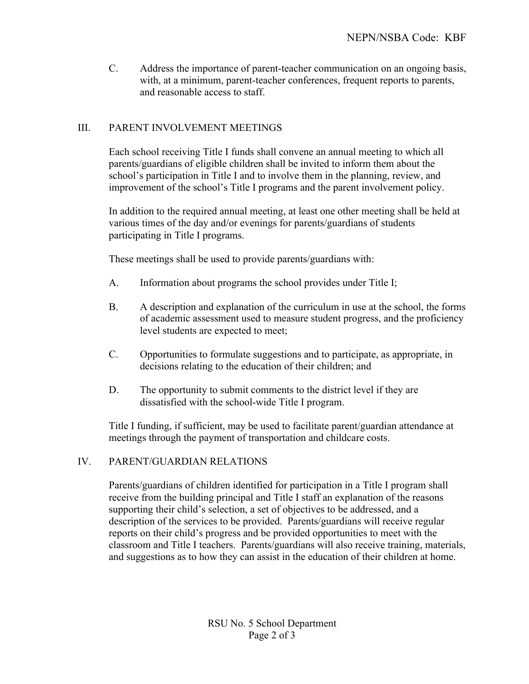C. Address the importance of parent-teacher communication on an ongoing basis, with, at a minimum, parent-teacher conferences, frequent reports to parents, and reasonable access to staff.

# III. PARENT INVOLVEMENT MEETINGS

Each school receiving Title I funds shall convene an annual meeting to which all parents/guardians of eligible children shall be invited to inform them about the school's participation in Title I and to involve them in the planning, review, and improvement of the school's Title I programs and the parent involvement policy.

In addition to the required annual meeting, at least one other meeting shall be held at various times of the day and/or evenings for parents/guardians of students participating in Title I programs.

These meetings shall be used to provide parents/guardians with:

- A. Information about programs the school provides under Title I;
- B. A description and explanation of the curriculum in use at the school, the forms of academic assessment used to measure student progress, and the proficiency level students are expected to meet;
- C. Opportunities to formulate suggestions and to participate, as appropriate, in decisions relating to the education of their children; and
- D. The opportunity to submit comments to the district level if they are dissatisfied with the school-wide Title I program.

Title I funding, if sufficient, may be used to facilitate parent/guardian attendance at meetings through the payment of transportation and childcare costs.

#### IV. PARENT/GUARDIAN RELATIONS

Parents/guardians of children identified for participation in a Title I program shall receive from the building principal and Title I staff an explanation of the reasons supporting their child's selection, a set of objectives to be addressed, and a description of the services to be provided. Parents/guardians will receive regular reports on their child's progress and be provided opportunities to meet with the classroom and Title I teachers. Parents/guardians will also receive training, materials, and suggestions as to how they can assist in the education of their children at home.